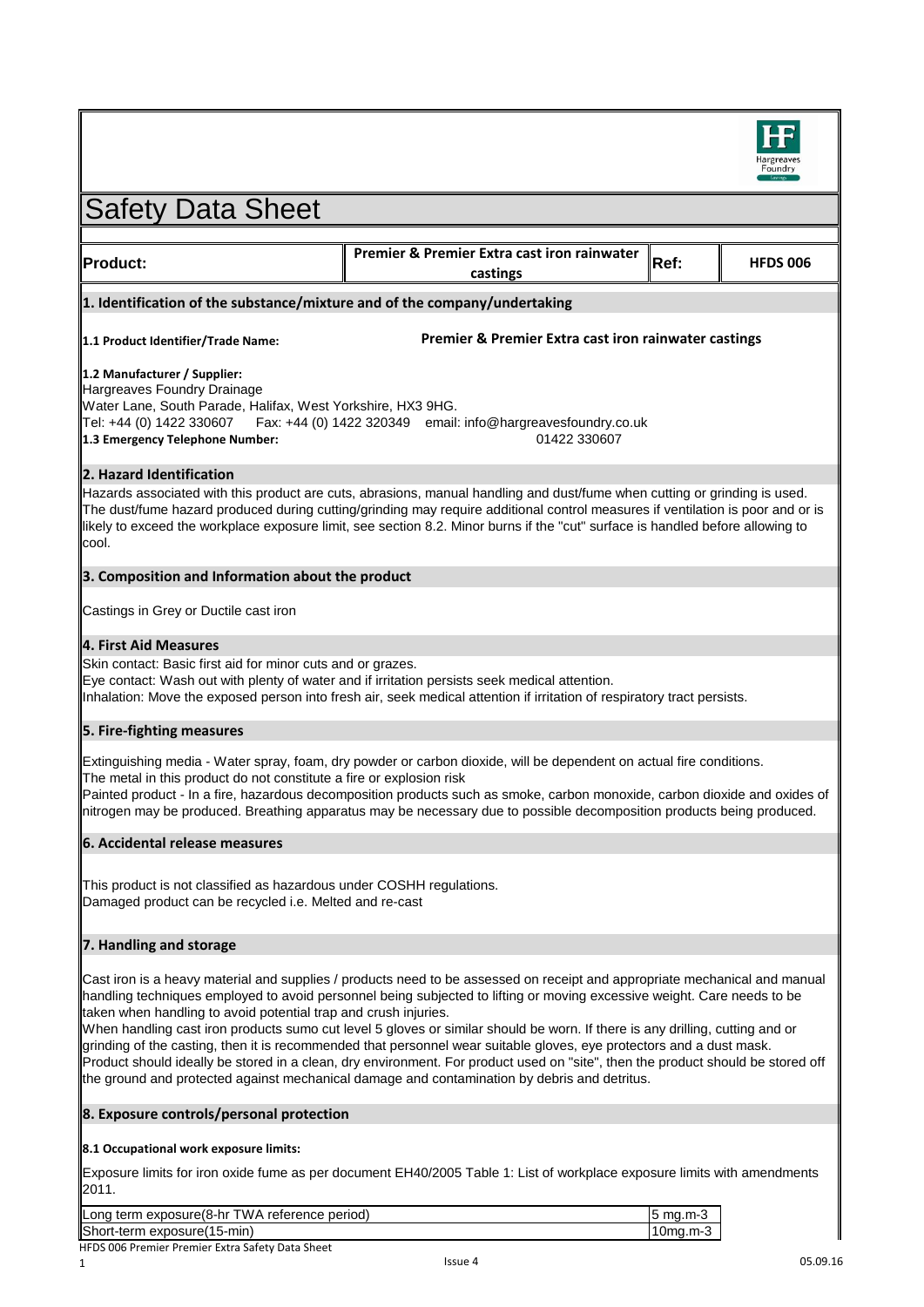

| <b>Safety Data Sheet</b>                                                                                                                                                                                                                                                                                                                                                                                                                                                                                                                                                                                                                                                                                                                                                                                            |                                                         |          |                 |  |
|---------------------------------------------------------------------------------------------------------------------------------------------------------------------------------------------------------------------------------------------------------------------------------------------------------------------------------------------------------------------------------------------------------------------------------------------------------------------------------------------------------------------------------------------------------------------------------------------------------------------------------------------------------------------------------------------------------------------------------------------------------------------------------------------------------------------|---------------------------------------------------------|----------|-----------------|--|
|                                                                                                                                                                                                                                                                                                                                                                                                                                                                                                                                                                                                                                                                                                                                                                                                                     |                                                         |          |                 |  |
| <b>Product:</b>                                                                                                                                                                                                                                                                                                                                                                                                                                                                                                                                                                                                                                                                                                                                                                                                     | Premier & Premier Extra cast iron rainwater<br>castings | Ref:     | <b>HFDS 006</b> |  |
| 1. Identification of the substance/mixture and of the company/undertaking                                                                                                                                                                                                                                                                                                                                                                                                                                                                                                                                                                                                                                                                                                                                           |                                                         |          |                 |  |
| Premier & Premier Extra cast iron rainwater castings<br>1.1 Product Identifier/Trade Name:                                                                                                                                                                                                                                                                                                                                                                                                                                                                                                                                                                                                                                                                                                                          |                                                         |          |                 |  |
| 1.2 Manufacturer / Supplier:<br>Hargreaves Foundry Drainage<br>Water Lane, South Parade, Halifax, West Yorkshire, HX3 9HG.<br>Tel: +44 (0) 1422 330607 Fax: +44 (0) 1422 320349 email: info@hargreavesfoundry.co.uk<br>01422 330607<br>1.3 Emergency Telephone Number:                                                                                                                                                                                                                                                                                                                                                                                                                                                                                                                                              |                                                         |          |                 |  |
| 2. Hazard Identification                                                                                                                                                                                                                                                                                                                                                                                                                                                                                                                                                                                                                                                                                                                                                                                            |                                                         |          |                 |  |
| Hazards associated with this product are cuts, abrasions, manual handling and dust/fume when cutting or grinding is used.<br>The dust/fume hazard produced during cutting/grinding may require additional control measures if ventilation is poor and or is<br>likely to exceed the workplace exposure limit, see section 8.2. Minor burns if the "cut" surface is handled before allowing to<br>cool.                                                                                                                                                                                                                                                                                                                                                                                                              |                                                         |          |                 |  |
| 3. Composition and Information about the product                                                                                                                                                                                                                                                                                                                                                                                                                                                                                                                                                                                                                                                                                                                                                                    |                                                         |          |                 |  |
| Castings in Grey or Ductile cast iron                                                                                                                                                                                                                                                                                                                                                                                                                                                                                                                                                                                                                                                                                                                                                                               |                                                         |          |                 |  |
| <b>4. First Aid Measures</b>                                                                                                                                                                                                                                                                                                                                                                                                                                                                                                                                                                                                                                                                                                                                                                                        |                                                         |          |                 |  |
| Skin contact: Basic first aid for minor cuts and or grazes.<br>Eye contact: Wash out with plenty of water and if irritation persists seek medical attention.<br>Inhalation: Move the exposed person into fresh air, seek medical attention if irritation of respiratory tract persists.                                                                                                                                                                                                                                                                                                                                                                                                                                                                                                                             |                                                         |          |                 |  |
| 5. Fire-fighting measures                                                                                                                                                                                                                                                                                                                                                                                                                                                                                                                                                                                                                                                                                                                                                                                           |                                                         |          |                 |  |
| Extinguishing media - Water spray, foam, dry powder or carbon dioxide, will be dependent on actual fire conditions.<br>The metal in this product do not constitute a fire or explosion risk<br>Painted product - In a fire, hazardous decomposition products such as smoke, carbon monoxide, carbon dioxide and oxides of<br>nitrogen may be produced. Breathing apparatus may be necessary due to possible decomposition products being produced.                                                                                                                                                                                                                                                                                                                                                                  |                                                         |          |                 |  |
| 6. Accidental release measures                                                                                                                                                                                                                                                                                                                                                                                                                                                                                                                                                                                                                                                                                                                                                                                      |                                                         |          |                 |  |
| This product is not classified as hazardous under COSHH regulations.<br>Damaged product can be recycled i.e. Melted and re-cast                                                                                                                                                                                                                                                                                                                                                                                                                                                                                                                                                                                                                                                                                     |                                                         |          |                 |  |
| 7. Handling and storage                                                                                                                                                                                                                                                                                                                                                                                                                                                                                                                                                                                                                                                                                                                                                                                             |                                                         |          |                 |  |
| Cast iron is a heavy material and supplies / products need to be assessed on receipt and appropriate mechanical and manual<br>handling techniques employed to avoid personnel being subjected to lifting or moving excessive weight. Care needs to be<br>taken when handling to avoid potential trap and crush injuries.<br>When handling cast iron products sumo cut level 5 gloves or similar should be worn. If there is any drilling, cutting and or<br>grinding of the casting, then it is recommended that personnel wear suitable gloves, eye protectors and a dust mask.<br>Product should ideally be stored in a clean, dry environment. For product used on "site", then the product should be stored off<br>the ground and protected against mechanical damage and contamination by debris and detritus. |                                                         |          |                 |  |
| 8. Exposure controls/personal protection                                                                                                                                                                                                                                                                                                                                                                                                                                                                                                                                                                                                                                                                                                                                                                            |                                                         |          |                 |  |
| 8.1 Occupational work exposure limits:                                                                                                                                                                                                                                                                                                                                                                                                                                                                                                                                                                                                                                                                                                                                                                              |                                                         |          |                 |  |
| Exposure limits for iron oxide fume as per document EH40/2005 Table 1: List of workplace exposure limits with amendments<br>2011.                                                                                                                                                                                                                                                                                                                                                                                                                                                                                                                                                                                                                                                                                   |                                                         |          |                 |  |
| Long term exposure(8-hr TWA reference period)                                                                                                                                                                                                                                                                                                                                                                                                                                                                                                                                                                                                                                                                                                                                                                       |                                                         | 5 mg.m-3 |                 |  |

| Long term exposure(8-hr TWA reference period) | 15 ma.m-3   |
|-----------------------------------------------|-------------|
| Short-term exposure(15-min)                   | $10$ ma.m-3 |
| $\mathbf{F}$                                  |             |

║